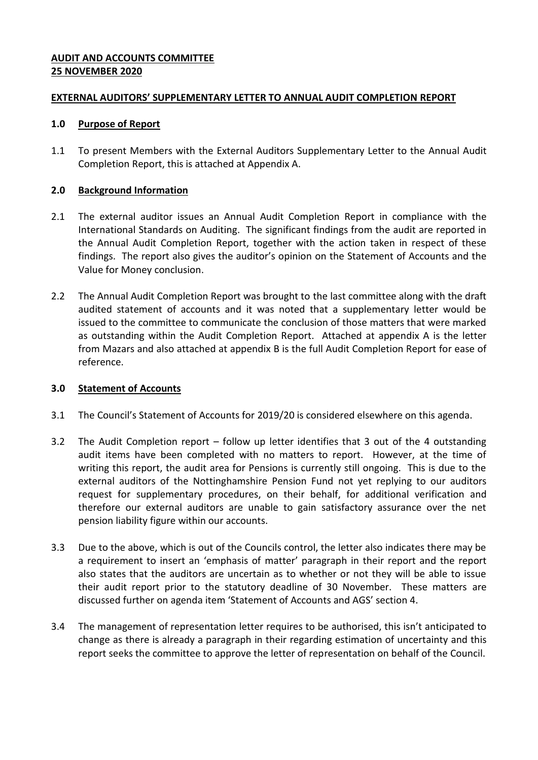## **AUDIT AND ACCOUNTS COMMITTEE 25 NOVEMBER 2020**

### **EXTERNAL AUDITORS' SUPPLEMENTARY LETTER TO ANNUAL AUDIT COMPLETION REPORT**

#### **1.0 Purpose of Report**

1.1 To present Members with the External Auditors Supplementary Letter to the Annual Audit Completion Report, this is attached at Appendix A.

## **2.0 Background Information**

- 2.1 The external auditor issues an Annual Audit Completion Report in compliance with the International Standards on Auditing. The significant findings from the audit are reported in the Annual Audit Completion Report, together with the action taken in respect of these findings. The report also gives the auditor's opinion on the Statement of Accounts and the Value for Money conclusion.
- 2.2 The Annual Audit Completion Report was brought to the last committee along with the draft audited statement of accounts and it was noted that a supplementary letter would be issued to the committee to communicate the conclusion of those matters that were marked as outstanding within the Audit Completion Report. Attached at appendix A is the letter from Mazars and also attached at appendix B is the full Audit Completion Report for ease of reference.

# **3.0 Statement of Accounts**

- 3.1 The Council's Statement of Accounts for 2019/20 is considered elsewhere on this agenda.
- 3.2 The Audit Completion report follow up letter identifies that 3 out of the 4 outstanding audit items have been completed with no matters to report. However, at the time of writing this report, the audit area for Pensions is currently still ongoing. This is due to the external auditors of the Nottinghamshire Pension Fund not yet replying to our auditors request for supplementary procedures, on their behalf, for additional verification and therefore our external auditors are unable to gain satisfactory assurance over the net pension liability figure within our accounts.
- 3.3 Due to the above, which is out of the Councils control, the letter also indicates there may be a requirement to insert an 'emphasis of matter' paragraph in their report and the report also states that the auditors are uncertain as to whether or not they will be able to issue their audit report prior to the statutory deadline of 30 November. These matters are discussed further on agenda item 'Statement of Accounts and AGS' section 4.
- 3.4 The management of representation letter requires to be authorised, this isn't anticipated to change as there is already a paragraph in their regarding estimation of uncertainty and this report seeks the committee to approve the letter of representation on behalf of the Council.